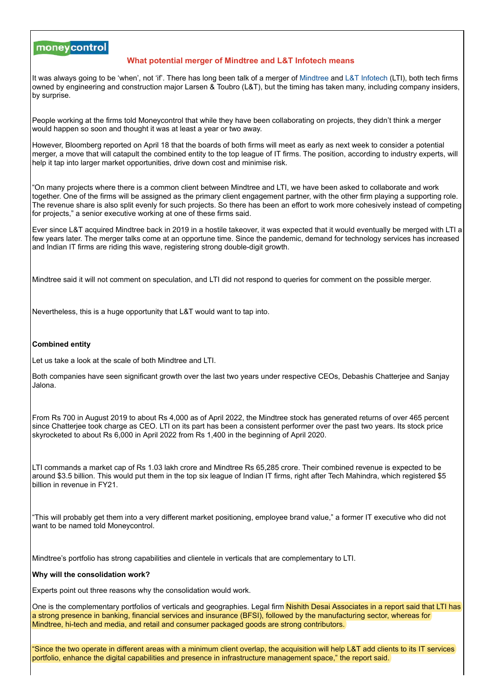# moneycontrol

## **What potential merger of Mindtree and L&T Infotech means**

It was always going to be 'when', not 'if'. There has long been talk of a merger of [Mindtree](https://www.moneycontrol.com/india/stockpricequote/computers-software/mindtree/MT13) and [L&T Infotech](https://www.moneycontrol.com/india/stockpricequote/computers-software/larsentoubroinfotech/LI12) (LTI), both tech firms owned by engineering and construction major Larsen & Toubro (L&T), but the timing has taken many, including company insiders, by surprise.

People working at the firms told Moneycontrol that while they have been collaborating on projects, they didn't think a merger would happen so soon and thought it was at least a year or two away.

However, Bloomberg reported on April 18 that the boards of both firms will meet as early as next week to consider a potential merger, a move that will catapult the combined entity to the top league of IT firms. The position, according to industry experts, will help it tap into larger market opportunities, drive down cost and minimise risk.

"On many projects where there is a common client between Mindtree and LTI, we have been asked to collaborate and work together. One of the firms will be assigned as the primary client engagement partner, with the other firm playing a supporting role. The revenue share is also split evenly for such projects. So there has been an effort to work more cohesively instead of competing for projects," a senior executive working at one of these firms said.

Ever since L&T acquired Mindtree back in 2019 in a hostile takeover, it was expected that it would eventually be merged with LTI a few years later. The merger talks come at an opportune time. Since the pandemic, demand for technology services has increased and Indian IT firms are riding this wave, registering strong double-digit growth.

Mindtree said it will not comment on speculation, and LTI did not respond to queries for comment on the possible merger.

Nevertheless, this is a huge opportunity that L&T would want to tap into.

### **Combined entity**

Let us take a look at the scale of both Mindtree and LTI.

Both companies have seen significant growth over the last two years under respective CEOs, Debashis Chatterjee and Sanjay Jalona.

From Rs 700 in August 2019 to about Rs 4,000 as of April 2022, the Mindtree stock has generated returns of over 465 percent since Chatterjee took charge as CEO. LTI on its part has been a consistent performer over the past two years. Its stock price skyrocketed to about Rs 6,000 in April 2022 from Rs 1,400 in the beginning of April 2020.

LTI commands a market cap of Rs 1.03 lakh crore and Mindtree Rs 65,285 crore. Their combined revenue is expected to be around \$3.5 billion. This would put them in the top six league of Indian IT firms, right after Tech Mahindra, which registered \$5 billion in revenue in FY21.

"This will probably get them into a very different market positioning, employee brand value," a former IT executive who did not want to be named told Moneycontrol.

Mindtree's portfolio has strong capabilities and clientele in verticals that are complementary to LTI.

### **Why will the consolidation work?**

Experts point out three reasons why the consolidation would work.

One is the complementary portfolios of verticals and geographies. Legal firm <mark>Nishith Desai Associates in a report said that LTI has</mark> a strong presence in banking, financial services and insurance (BFSI), followed by the manufacturing sector, whereas for Mindtree, hi-tech and media, and retail and consumer packaged goods are strong contributors.

"Since the two operate in different areas with a minimum client overlap, the acquisition will help L&T add clients to its IT services portfolio, enhance the digital capabilities and presence in infrastructure management space," the report said.